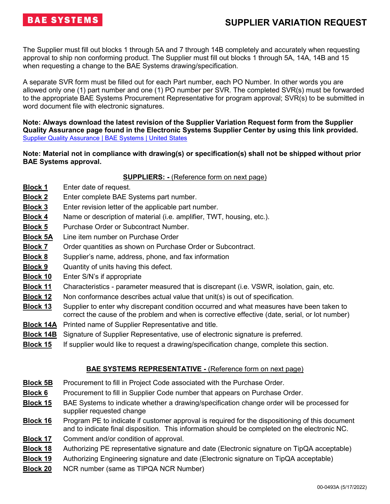The Supplier must fill out blocks 1 through 5A and 7 through 14B completely and accurately when requesting approval to ship non conforming product. The Supplier must fill out blocks 1 through 5A, 14A, 14B and 15 when requesting a change to the BAE Systems drawing/specification.

A separate SVR form must be filled out for each Part number, each PO Number. In other words you are allowed only one (1) part number and one (1) PO number per SVR. The completed SVR(s) must be forwarded to the appropriate BAE Systems Procurement Representative for program approval; SVR(s) to be submitted in word document file with electronic signatures.

**Note: Always download the latest revision of the Supplier Variation Request form from the Supplier Quality Assurance page found in the Electronic Systems Supplier Center by using this link provided.**  [Supplier Quality Assurance | BAE Systems | United States](https://www.baesystems.com/en-us/our-company/inc-businesses/electronic-systems/supplier-center/supplier-quality-assurance)

### **Note: Material not in compliance with drawing(s) or specification(s) shall not be shipped without prior BAE Systems approval.**

### **SUPPLIERS: -** (Reference form on next page)

- **Block 1** Enter date of request.
- **Block 2** Enter complete BAE Systems part number.
- **Block 3** Enter revision letter of the applicable part number.
- **Block 4** Name or description of material (i.e. amplifier, TWT, housing, etc.).
- **Block 5** Purchase Order or Subcontract Number.
- **Block 5A** Line item number on Purchase Order
- **Block 7** Order quantities as shown on Purchase Order or Subcontract.
- **Block 8** Supplier's name, address, phone, and fax information
- **Block 9** Quantity of units having this defect.
- **Block 10** Enter S/N's if appropriate
- **Block 11** Characteristics parameter measured that is discrepant (i.e. VSWR, isolation, gain, etc.
- **Block 12** Non conformance describes actual value that unit(s) is out of specification.
- **Block 13** Supplier to enter why discrepant condition occurred and what measures have been taken to correct the cause of the problem and when is corrective effective (date, serial, or lot number)
- **Block 14A** Printed name of Supplier Representative and title.
- **Block 14B** Signature of Supplier Representative, use of electronic signature is preferred.
- **Block 15** If supplier would like to request a drawing/specification change, complete this section.

### **BAE SYSTEMS REPRESENTATIVE -** (Reference form on next page)

- **Block 5B** Procurement to fill in Project Code associated with the Purchase Order.
- **Block 6** Procurement to fill in Supplier Code number that appears on Purchase Order.
- **Block 15** BAE Systems to indicate whether a drawing/specification change order will be processed for supplier requested change
- **Block 16** Program PE to indicate if customer approval is required for the dispositioning of this document and to indicate final disposition. This information should be completed on the electronic NC.
- **Block 17** Comment and/or condition of approval.
- **Block 18** Authorizing PE representative signature and date (Electronic signature on TipQA acceptable)
- **Block 19** Authorizing Engineering signature and date (Electronic signature on TipQA acceptable)
- **Block 20** NCR number (same as TIPQA NCR Number)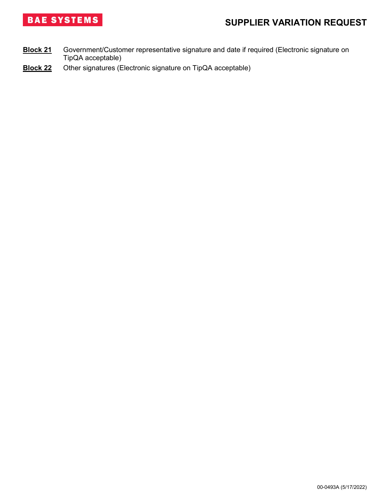

- **Block 21** Government/Customer representative signature and date if required (Electronic signature on TipQA acceptable)
- **Block 22** Other signatures (Electronic signature on TipQA acceptable)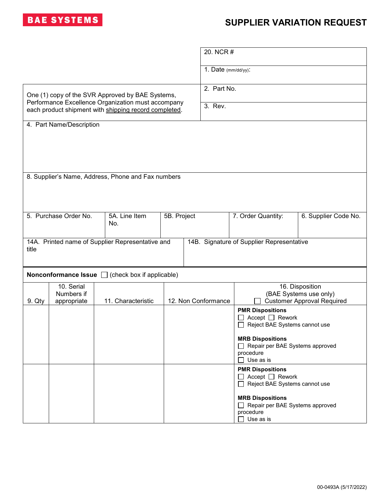

|                                                                                                        |                                                                                               |                                                              |             | 20. NCR #                                            |                                                              |                      |  |  |
|--------------------------------------------------------------------------------------------------------|-----------------------------------------------------------------------------------------------|--------------------------------------------------------------|-------------|------------------------------------------------------|--------------------------------------------------------------|----------------------|--|--|
|                                                                                                        |                                                                                               |                                                              |             | 1. Date (mm/dd/yy):                                  |                                                              |                      |  |  |
|                                                                                                        |                                                                                               |                                                              |             |                                                      | 2. Part No.                                                  |                      |  |  |
| One (1) copy of the SVR Approved by BAE Systems,<br>Performance Excellence Organization must accompany |                                                                                               |                                                              |             | 3. Rev.                                              |                                                              |                      |  |  |
| each product shipment with shipping record completed.                                                  |                                                                                               |                                                              |             |                                                      |                                                              |                      |  |  |
| 4. Part Name/Description                                                                               |                                                                                               |                                                              |             |                                                      |                                                              |                      |  |  |
|                                                                                                        |                                                                                               |                                                              |             |                                                      |                                                              |                      |  |  |
|                                                                                                        |                                                                                               |                                                              |             |                                                      |                                                              |                      |  |  |
| 8. Supplier's Name, Address, Phone and Fax numbers                                                     |                                                                                               |                                                              |             |                                                      |                                                              |                      |  |  |
|                                                                                                        |                                                                                               |                                                              |             |                                                      |                                                              |                      |  |  |
|                                                                                                        |                                                                                               |                                                              |             |                                                      |                                                              |                      |  |  |
| 5. Purchase Order No.                                                                                  |                                                                                               | 5A. Line Item<br>No.                                         | 5B. Project |                                                      | 7. Order Quantity:                                           | 6. Supplier Code No. |  |  |
|                                                                                                        |                                                                                               |                                                              |             |                                                      |                                                              |                      |  |  |
| title                                                                                                  | 14A. Printed name of Supplier Representative and<br>14B. Signature of Supplier Representative |                                                              |             |                                                      |                                                              |                      |  |  |
|                                                                                                        |                                                                                               |                                                              |             |                                                      |                                                              |                      |  |  |
|                                                                                                        |                                                                                               | <b>Nonconformance Issue</b> $\Box$ (check box if applicable) |             |                                                      |                                                              |                      |  |  |
|                                                                                                        | 10. Serial<br>Numbers if                                                                      |                                                              |             | 16. Disposition<br>(BAE Systems use only)            |                                                              |                      |  |  |
| 9. Qty                                                                                                 | appropriate                                                                                   | 11. Characteristic                                           |             | 12. Non Conformance                                  | <b>Customer Approval Required</b>                            |                      |  |  |
|                                                                                                        |                                                                                               |                                                              |             |                                                      | <b>PMR Dispositions</b><br>Accept $\Box$ Rework              |                      |  |  |
|                                                                                                        |                                                                                               |                                                              |             |                                                      | Reject BAE Systems cannot use                                |                      |  |  |
|                                                                                                        |                                                                                               |                                                              |             | <b>MRB Dispositions</b>                              |                                                              |                      |  |  |
|                                                                                                        |                                                                                               |                                                              |             |                                                      | Repair per BAE Systems approved<br>$\Box$<br>procedure       |                      |  |  |
|                                                                                                        |                                                                                               |                                                              |             | Use as is<br>$\mathsf{L}$<br><b>PMR Dispositions</b> |                                                              |                      |  |  |
|                                                                                                        |                                                                                               |                                                              |             |                                                      | $\Box$ Accept $\Box$ Rework<br>Reject BAE Systems cannot use |                      |  |  |
|                                                                                                        |                                                                                               |                                                              |             |                                                      | <b>MRB Dispositions</b>                                      |                      |  |  |
|                                                                                                        |                                                                                               |                                                              |             |                                                      | Repair per BAE Systems approved                              |                      |  |  |
|                                                                                                        |                                                                                               |                                                              |             |                                                      | procedure<br>Use as is                                       |                      |  |  |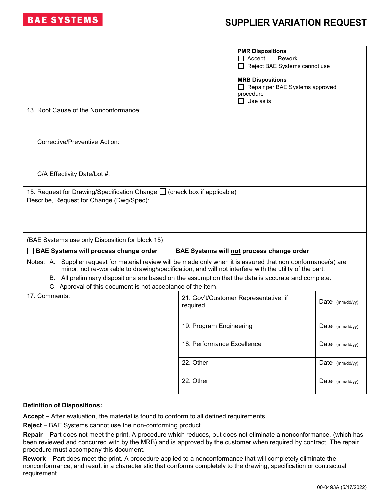

|                                                                                                                                                                                                                                                                                                                                                                                                | <b>PMR Dispositions</b><br>Accept $\Box$ Rework<br>Reject BAE Systems cannot use     |                   |  |  |  |  |  |  |
|------------------------------------------------------------------------------------------------------------------------------------------------------------------------------------------------------------------------------------------------------------------------------------------------------------------------------------------------------------------------------------------------|--------------------------------------------------------------------------------------|-------------------|--|--|--|--|--|--|
|                                                                                                                                                                                                                                                                                                                                                                                                | <b>MRB Dispositions</b><br>Repair per BAE Systems approved<br>procedure<br>Use as is |                   |  |  |  |  |  |  |
| 13. Root Cause of the Nonconformance:                                                                                                                                                                                                                                                                                                                                                          |                                                                                      |                   |  |  |  |  |  |  |
| Corrective/Preventive Action:                                                                                                                                                                                                                                                                                                                                                                  |                                                                                      |                   |  |  |  |  |  |  |
| C/A Effectivity Date/Lot #:                                                                                                                                                                                                                                                                                                                                                                    |                                                                                      |                   |  |  |  |  |  |  |
| 15. Request for Drawing/Specification Change □ (check box if applicable)<br>Describe, Request for Change (Dwg/Spec):                                                                                                                                                                                                                                                                           |                                                                                      |                   |  |  |  |  |  |  |
| (BAE Systems use only Disposition for block 15)<br><b>BAE Systems will process change order</b><br>BAE Systems will not process change order                                                                                                                                                                                                                                                   |                                                                                      |                   |  |  |  |  |  |  |
| Notes: A. Supplier request for material review will be made only when it is assured that non conformance(s) are<br>minor, not re-workable to drawing/specification, and will not interfere with the utility of the part.<br>B. All preliminary dispositions are based on the assumption that the data is accurate and complete.<br>C. Approval of this document is not acceptance of the item. |                                                                                      |                   |  |  |  |  |  |  |
| 17. Comments:                                                                                                                                                                                                                                                                                                                                                                                  | 21. Gov't/Customer Representative; if<br>required                                    | Date (mm/dd/yy)   |  |  |  |  |  |  |
|                                                                                                                                                                                                                                                                                                                                                                                                | 19. Program Engineering                                                              | Date $(mm/dd/yy)$ |  |  |  |  |  |  |
|                                                                                                                                                                                                                                                                                                                                                                                                | 18. Performance Excellence                                                           | Date (mm/dd/yy)   |  |  |  |  |  |  |
|                                                                                                                                                                                                                                                                                                                                                                                                | 22. Other                                                                            | Date (mm/dd/yy)   |  |  |  |  |  |  |
|                                                                                                                                                                                                                                                                                                                                                                                                | 22. Other                                                                            | Date (mm/dd/yy)   |  |  |  |  |  |  |

#### **Definition of Dispositions:**

**Accept –** After evaluation, the material is found to conform to all defined requirements.

**Reject** – BAE Systems cannot use the non-conforming product.

**Repair** – Part does not meet the print. A procedure which reduces, but does not eliminate a nonconformance, (which has been reviewed and concurred with by the MRB) and is approved by the customer when required by contract. The repair procedure must accompany this document.

**Rework** – Part does meet the print. A procedure applied to a nonconformance that will completely eliminate the nonconformance, and result in a characteristic that conforms completely to the drawing, specification or contractual requirement.